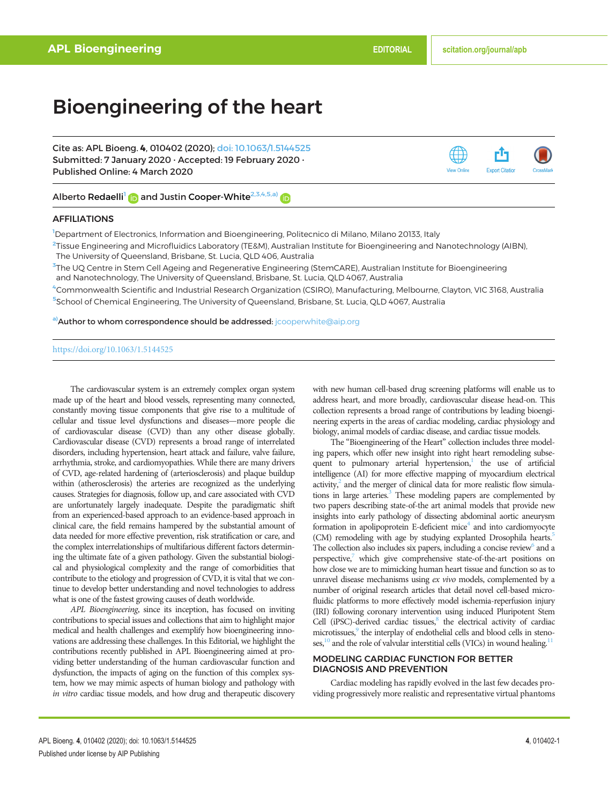r<sup>T</sup>1

**Export Citation** 

**View Online** 

# Bioengineering of the heart

Cite as: APL Bioeng. 4, 010402 (2020); doi: [10.1063/1.5144525](https://doi.org/10.1063/1.5144525) Submitted: 7 January 2020  $\cdot$  Accepted: 19 February 2020  $\cdot$ Published Online: 4 March 2020

Alberto Redaelli<sup>1</sup> and Justin Cooper-White<sup>2,3,4,5,a)</sup> and

## AFFILIATIONS

1 Department of Electronics, Information and Bioengineering, Politecnico di Milano, Milano 20133, Italy

2 Tissue Engineering and Microfluidics Laboratory (TE&M), Australian Institute for Bioengineering and Nanotechnology (AIBN), The University of Queensland, Brisbane, St. Lucia, QLD 406, Australia

<sup>3</sup>The UQ Centre in Stem Cell Ageing and Regenerative Engineering (StemCARE), Australian Institute for Bioengineering and Nanotechnology, The University of Queensland, Brisbane, St. Lucia, QLD 4067, Australia

4 Commonwealth Scientific and Industrial Research Organization (CSIRO), Manufacturing, Melbourne, Clayton, VIC 3168, Australia 5 School of Chemical Engineering, The University of Queensland, Brisbane, St. Lucia, QLD 4067, Australia

a) Author to whom correspondence should be addressed: [jcooperwhite@aip.org](mailto:jcooperwhite@aip.org)

#### <https://doi.org/10.1063/1.5144525>

The cardiovascular system is an extremely complex organ system made up of the heart and blood vessels, representing many connected, constantly moving tissue components that give rise to a multitude of cellular and tissue level dysfunctions and diseases—more people die of cardiovascular disease (CVD) than any other disease globally. Cardiovascular disease (CVD) represents a broad range of interrelated disorders, including hypertension, heart attack and failure, valve failure, arrhythmia, stroke, and cardiomyopathies. While there are many drivers of CVD, age-related hardening of (arteriosclerosis) and plaque buildup within (atherosclerosis) the arteries are recognized as the underlying causes. Strategies for diagnosis, follow up, and care associated with CVD are unfortunately largely inadequate. Despite the paradigmatic shift from an experienced-based approach to an evidence-based approach in clinical care, the field remains hampered by the substantial amount of data needed for more effective prevention, risk stratification or care, and the complex interrelationships of multifarious different factors determining the ultimate fate of a given pathology. Given the substantial biological and physiological complexity and the range of comorbidities that contribute to the etiology and progression of CVD, it is vital that we continue to develop better understanding and novel technologies to address what is one of the fastest growing causes of death worldwide.

APL Bioengineering, since its inception, has focused on inviting contributions to special issues and collections that aim to highlight major medical and health challenges and exemplify how bioengineering innovations are addressing these challenges. In this Editorial, we highlight the contributions recently published in APL Bioengineering aimed at providing better understanding of the human cardiovascular function and dysfunction, the impacts of aging on the function of this complex system, how we may mimic aspects of human biology and pathology with in vitro cardiac tissue models, and how drug and therapeutic discovery with new human cell-based drug screening platforms will enable us to address heart, and more broadly, cardiovascular disease head-on. This collection represents a broad range of contributions by leading bioengineering experts in the areas of cardiac modeling, cardiac physiology and biology, animal models of cardiac disease, and cardiac tissue models.

The "Bioengineering of the Heart" collection includes three modeling papers, which offer new insight into right heart remodeling subsequent to pulmonary arterial hypertension, $\frac{1}{1}$  the use of artificial intelligence (AI) for more effective mapping of myocardium electrical activity, $\frac{2}{3}$  $\frac{2}{3}$  $\frac{2}{3}$  and the merger of clinical data for more realistic flow simulations in large arteries.<sup>3</sup> These modeling papers are complemented by two papers describing state-of-the art animal models that provide new insights into early pathology of dissecting abdominal aortic aneurysm formation in apolipoprotein E-deficient mice $4$  and into cardiomyocyte (CM) remodeling with age by studying explanted Drosophila hearts.<sup>5</sup> The collection also includes six papers, including a concise review<sup>6</sup> and a perspective, which give comprehensive state-of-the-art positions on how close we are to mimicking human heart tissue and function so as to unravel disease mechanisms using ex vivo models, complemented by a number of original research articles that detail novel cell-based microfluidic platforms to more effectively model ischemia-reperfusion injury (IRI) following coronary intervention using induced Pluripotent Stem Cell (iPSC)-derived cardiac tissues,<sup>8</sup> the electrical activity of cardiac microtissues,<sup>9</sup> the interplay of endothelial cells and blood cells in stenoses,<sup>10</sup> and the role of valvular interstitial cells (VICs) in wound healing.<sup>11</sup>

## MODELING CARDIAC FUNCTION FOR BETTER DIAGNOSIS AND PREVENTION

Cardiac modeling has rapidly evolved in the last few decades providing progressively more realistic and representative virtual phantoms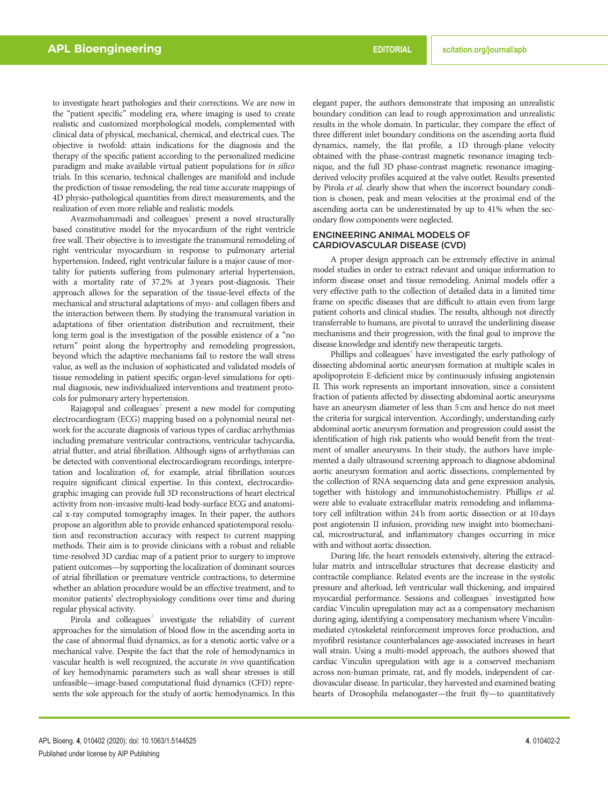to investigate heart pathologies and their corrections. We are now in the "patient specific" modeling era, where imaging is used to create realistic and customized morphological models, complemented with clinical data of physical, mechanical, chemical, and electrical cues. The objective is twofold: attain indications for the diagnosis and the therapy of the specific patient according to the personalized medicine paradigm and make available virtual patient populations for in silico trials. In this scenario, technical challenges are manifold and include the prediction of tissue remodeling, the real time accurate mappings of 4D physio-pathological quantities from direct measurements, and the realization of even more reliable and realistic models.

Avazmohammadi and colleagues $1$  present a novel structurally based constitutive model for the myocardium of the right ventricle free wall. Their objective is to investigate the transmural remodeling of right ventricular myocardium in response to pulmonary arterial hypertension. Indeed, right ventricular failure is a major cause of mortality for patients suffering from pulmonary arterial hypertension, with a mortality rate of 37.2% at 3 years post-diagnosis. Their approach allows for the separation of the tissue-level effects of the mechanical and structural adaptations of myo- and collagen fibers and the interaction between them. By studying the transmural variation in adaptations of fiber orientation distribution and recruitment, their long term goal is the investigation of the possible existence of a "no return" point along the hypertrophy and remodeling progression, beyond which the adaptive mechanisms fail to restore the wall stress value, as well as the inclusion of sophisticated and validated models of tissue remodeling in patient specific organ-level simulations for optimal diagnosis, new individualized interventions and treatment protocols for pulmonary artery hypertension.

Rajagopal and colleagues $2$  present a new model for computing electrocardiogram (ECG) mapping based on a polynomial neural network for the accurate diagnosis of various types of cardiac arrhythmias including premature ventricular contractions, ventricular tachycardia, atrial flutter, and atrial fibrillation. Although signs of arrhythmias can be detected with conventional electrocardiogram recordings, interpretation and localization of, for example, atrial fibrillation sources require significant clinical expertise. In this context, electrocardiographic imaging can provide full 3D reconstructions of heart electrical activity from non-invasive multi-lead body-surface ECG and anatomical x-ray computed tomography images. In their paper, the authors propose an algorithm able to provide enhanced spatiotemporal resolution and reconstruction accuracy with respect to current mapping methods. Their aim is to provide clinicians with a robust and reliable time-resolved 3D cardiac map of a patient prior to surgery to improve patient outcomes—by supporting the localization of dominant sources of atrial fibrillation or premature ventricle contractions, to determine whether an ablation procedure would be an effective treatment, and to monitor patients' electrophysiology conditions over time and during regular physical activity.

Pirola and colleagues $3$  investigate the reliability of current approaches for the simulation of blood flow in the ascending aorta in the case of abnormal fluid dynamics, as for a stenotic aortic valve or a mechanical valve. Despite the fact that the role of hemodynamics in vascular health is well recognized, the accurate in vivo quantification of key hemodynamic parameters such as wall shear stresses is still unfeasible—image-based computational fluid dynamics (CFD) represents the sole approach for the study of aortic hemodynamics. In this elegant paper, the authors demonstrate that imposing an unrealistic boundary condition can lead to rough approximation and unrealistic results in the whole domain. In particular, they compare the effect of three different inlet boundary conditions on the ascending aorta fluid dynamics, namely, the flat profile, a 1D through-plane velocity obtained with the phase-contrast magnetic resonance imaging technique, and the full 3D phase-contrast magnetic resonance imagingderived velocity profiles acquired at the valve outlet. Results presented by Pirola et al. clearly show that when the incorrect boundary condition is chosen, peak and mean velocities at the proximal end of the ascending aorta can be underestimated by up to 41% when the secondary flow components were neglected.

## ENGINEERING ANIMAL MODELS OF CARDIOVASCULAR DISEASE (CVD)

A proper design approach can be extremely effective in animal model studies in order to extract relevant and unique information to inform disease onset and tissue remodeling. Animal models offer a very effective path to the collection of detailed data in a limited time frame on specific diseases that are difficult to attain even from large patient cohorts and clinical studies. The results, although not directly transferrable to humans, are pivotal to unravel the underlining disease mechanisms and their progression, with the final goal to improve the disease knowledge and identify new therapeutic targets.

Phillips and colleagues<sup>[4](#page-3-0)</sup> have investigated the early pathology of dissecting abdominal aortic aneurysm formation at multiple scales in apolipoprotein E-deficient mice by continuously infusing angiotensin II. This work represents an important innovation, since a consistent fraction of patients affected by dissecting abdominal aortic aneurysms have an aneurysm diameter of less than 5 cm and hence do not meet the criteria for surgical intervention. Accordingly, understanding early abdominal aortic aneurysm formation and progression could assist the identification of high risk patients who would benefit from the treatment of smaller aneurysms. In their study, the authors have implemented a daily ultrasound screening approach to diagnose abdominal aortic aneurysm formation and aortic dissections, complemented by the collection of RNA sequencing data and gene expression analysis, together with histology and immunohistochemistry. Phillips et al. were able to evaluate extracellular matrix remodeling and inflammatory cell infiltration within 24 h from aortic dissection or at 10 days post angiotensin II infusion, providing new insight into biomechanical, microstructural, and inflammatory changes occurring in mice with and without aortic dissection.

During life, the heart remodels extensively, altering the extracellular matrix and intracellular structures that decrease elasticity and contractile compliance. Related events are the increase in the systolic pressure and afterload, left ventricular wall thickening, and impaired myocardial performance. Sessions and colleagues<sup>5</sup> investigated how cardiac Vinculin upregulation may act as a compensatory mechanism during aging, identifying a compensatory mechanism where Vinculinmediated cytoskeletal reinforcement improves force production, and myofibril resistance counterbalances age-associated increases in heart wall strain. Using a multi-model approach, the authors showed that cardiac Vinculin upregulation with age is a conserved mechanism across non-human primate, rat, and fly models, independent of cardiovascular disease. In particular, they harvested and examined beating hearts of Drosophila melanogaster—the fruit fly—to quantitatively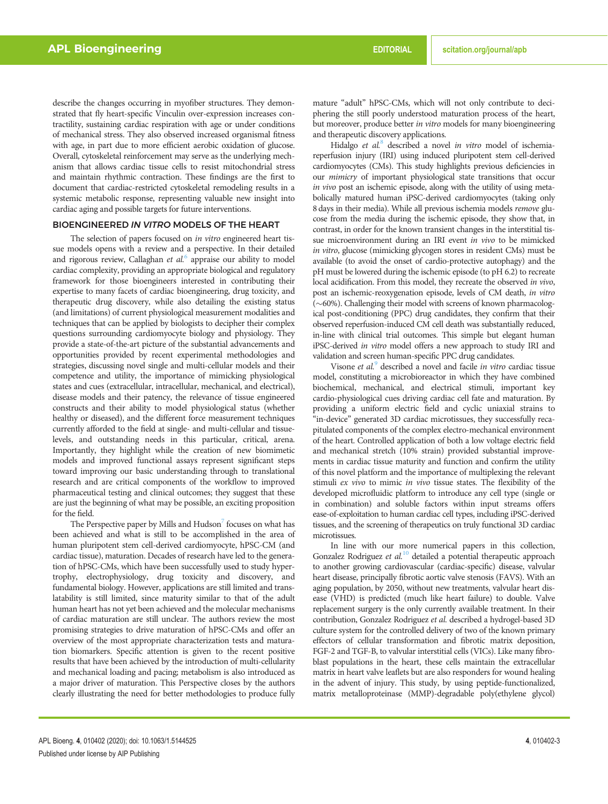describe the changes occurring in myofiber structures. They demonstrated that fly heart-specific Vinculin over-expression increases contractility, sustaining cardiac respiration with age or under conditions of mechanical stress. They also observed increased organismal fitness with age, in part due to more efficient aerobic oxidation of glucose. Overall, cytoskeletal reinforcement may serve as the underlying mechanism that allows cardiac tissue cells to resist mitochondrial stress and maintain rhythmic contraction. These findings are the first to document that cardiac-restricted cytoskeletal remodeling results in a systemic metabolic response, representing valuable new insight into cardiac aging and possible targets for future interventions.

#### BIOENGINEERED IN VITRO MODELS OF THE HEART

The selection of papers focused on in vitro engineered heart tissue models opens with a review and a perspective. In their detailed and rigorous review, Callaghan et  $al<sup>6</sup>$  $al<sup>6</sup>$  $al<sup>6</sup>$  appraise our ability to model cardiac complexity, providing an appropriate biological and regulatory framework for those bioengineers interested in contributing their expertise to many facets of cardiac bioengineering, drug toxicity, and therapeutic drug discovery, while also detailing the existing status (and limitations) of current physiological measurement modalities and techniques that can be applied by biologists to decipher their complex questions surrounding cardiomyocyte biology and physiology. They provide a state-of-the-art picture of the substantial advancements and opportunities provided by recent experimental methodologies and strategies, discussing novel single and multi-cellular models and their competence and utility, the importance of mimicking physiological states and cues (extracellular, intracellular, mechanical, and electrical), disease models and their patency, the relevance of tissue engineered constructs and their ability to model physiological status (whether healthy or diseased), and the different force measurement techniques currently afforded to the field at single- and multi-cellular and tissuelevels, and outstanding needs in this particular, critical, arena. Importantly, they highlight while the creation of new biomimetic models and improved functional assays represent significant steps toward improving our basic understanding through to translational research and are critical components of the workflow to improved pharmaceutical testing and clinical outcomes; they suggest that these are just the beginning of what may be possible, an exciting proposition for the field.

The Perspective paper by Mills and  $Hudson<sup>7</sup>$  $Hudson<sup>7</sup>$  $Hudson<sup>7</sup>$  focuses on what has been achieved and what is still to be accomplished in the area of human pluripotent stem cell-derived cardiomyocyte, hPSC-CM (and cardiac tissue), maturation. Decades of research have led to the generation of hPSC-CMs, which have been successfully used to study hypertrophy, electrophysiology, drug toxicity and discovery, and fundamental biology. However, applications are still limited and translatability is still limited, since maturity similar to that of the adult human heart has not yet been achieved and the molecular mechanisms of cardiac maturation are still unclear. The authors review the most promising strategies to drive maturation of hPSC-CMs and offer an overview of the most appropriate characterization tests and maturation biomarkers. Specific attention is given to the recent positive results that have been achieved by the introduction of multi-cellularity and mechanical loading and pacing; metabolism is also introduced as a major driver of maturation. This Perspective closes by the authors clearly illustrating the need for better methodologies to produce fully mature "adult" hPSC-CMs, which will not only contribute to deciphering the still poorly understood maturation process of the heart, but moreover, produce better in vitro models for many bioengineering and therapeutic discovery applications.

Hidalgo et  $al^8$  $al^8$  described a novel in vitro model of ischemiareperfusion injury (IRI) using induced pluripotent stem cell-derived cardiomyocytes (CMs). This study highlights previous deficiencies in our mimicry of important physiological state transitions that occur in vivo post an ischemic episode, along with the utility of using metabolically matured human iPSC-derived cardiomyocytes (taking only 8 days in their media). While all previous ischemia models remove glucose from the media during the ischemic episode, they show that, in contrast, in order for the known transient changes in the interstitial tissue microenvironment during an IRI event in vivo to be mimicked in vitro, glucose (mimicking glycogen stores in resident CMs) must be available (to avoid the onset of cardio-protective autophagy) and the pH must be lowered during the ischemic episode (to pH 6.2) to recreate local acidification. From this model, they recreate the observed in vivo, post an ischemic-reoxygenation episode, levels of CM death, in vitro (~60%). Challenging their model with screens of known pharmacological post-conditioning (PPC) drug candidates, they confirm that their observed reperfusion-induced CM cell death was substantially reduced, in-line with clinical trial outcomes. This simple but elegant human iPSC-derived in vitro model offers a new approach to study IRI and validation and screen human-specific PPC drug candidates.

Visone et al.<sup>[9](#page-3-0)</sup> described a novel and facile *in vitro* cardiac tissue model, constituting a microbioreactor in which they have combined biochemical, mechanical, and electrical stimuli, important key cardio-physiological cues driving cardiac cell fate and maturation. By providing a uniform electric field and cyclic uniaxial strains to "in-device" generated 3D cardiac microtissues, they successfully recapitulated components of the complex electro-mechanical environment of the heart. Controlled application of both a low voltage electric field and mechanical stretch (10% strain) provided substantial improvements in cardiac tissue maturity and function and confirm the utility of this novel platform and the importance of multiplexing the relevant stimuli ex vivo to mimic in vivo tissue states. The flexibility of the developed microfluidic platform to introduce any cell type (single or in combination) and soluble factors within input streams offers ease-of-exploitation to human cardiac cell types, including iPSC-derived tissues, and the screening of therapeutics on truly functional 3D cardiac microtissues.

In line with our more numerical papers in this collection, Gonzalez Rodriguez et al.<sup>[10](#page-3-0)</sup> detailed a potential therapeutic approach to another growing cardiovascular (cardiac-specific) disease, valvular heart disease, principally fibrotic aortic valve stenosis (FAVS). With an aging population, by 2050, without new treatments, valvular heart disease (VHD) is predicted (much like heart failure) to double. Valve replacement surgery is the only currently available treatment. In their contribution, Gonzalez Rodriguez et al. described a hydrogel-based 3D culture system for the controlled delivery of two of the known primary effectors of cellular transformation and fibrotic matrix deposition, FGF-2 and TGF-B, to valvular interstitial cells (VICs). Like many fibroblast populations in the heart, these cells maintain the extracellular matrix in heart valve leaflets but are also responders for wound healing in the advent of injury. This study, by using peptide-functionalized, matrix metalloproteinase (MMP)-degradable poly(ethylene glycol)